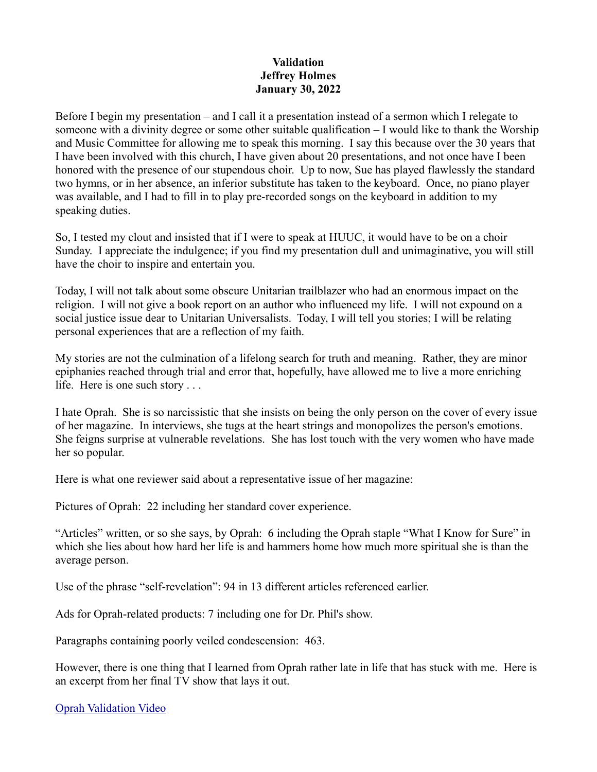## **Validation Jeffrey Holmes January 30, 2022**

Before I begin my presentation – and I call it a presentation instead of a sermon which I relegate to someone with a divinity degree or some other suitable qualification – I would like to thank the Worship and Music Committee for allowing me to speak this morning. I say this because over the 30 years that I have been involved with this church, I have given about 20 presentations, and not once have I been honored with the presence of our stupendous choir. Up to now, Sue has played flawlessly the standard two hymns, or in her absence, an inferior substitute has taken to the keyboard. Once, no piano player was available, and I had to fill in to play pre-recorded songs on the keyboard in addition to my speaking duties.

So, I tested my clout and insisted that if I were to speak at HUUC, it would have to be on a choir Sunday. I appreciate the indulgence; if you find my presentation dull and unimaginative, you will still have the choir to inspire and entertain you.

Today, I will not talk about some obscure Unitarian trailblazer who had an enormous impact on the religion. I will not give a book report on an author who influenced my life. I will not expound on a social justice issue dear to Unitarian Universalists. Today, I will tell you stories; I will be relating personal experiences that are a reflection of my faith.

My stories are not the culmination of a lifelong search for truth and meaning. Rather, they are minor epiphanies reached through trial and error that, hopefully, have allowed me to live a more enriching life. Here is one such story . . .

I hate Oprah. She is so narcissistic that she insists on being the only person on the cover of every issue of her magazine. In interviews, she tugs at the heart strings and monopolizes the person's emotions. She feigns surprise at vulnerable revelations. She has lost touch with the very women who have made her so popular.

Here is what one reviewer said about a representative issue of her magazine:

Pictures of Oprah: 22 including her standard cover experience.

"Articles" written, or so she says, by Oprah: 6 including the Oprah staple "What I Know for Sure" in which she lies about how hard her life is and hammers home how much more spiritual she is than the average person.

Use of the phrase "self-revelation": 94 in 13 different articles referenced earlier.

Ads for Oprah-related products: 7 including one for Dr. Phil's show.

Paragraphs containing poorly veiled condescension: 463.

However, there is one thing that I learned from Oprah rather late in life that has stuck with me. Here is an excerpt from her final TV show that lays it out.

[Oprah Validation Video](https://www.youtube.com/watch?v=9Sk8OrvoZg4)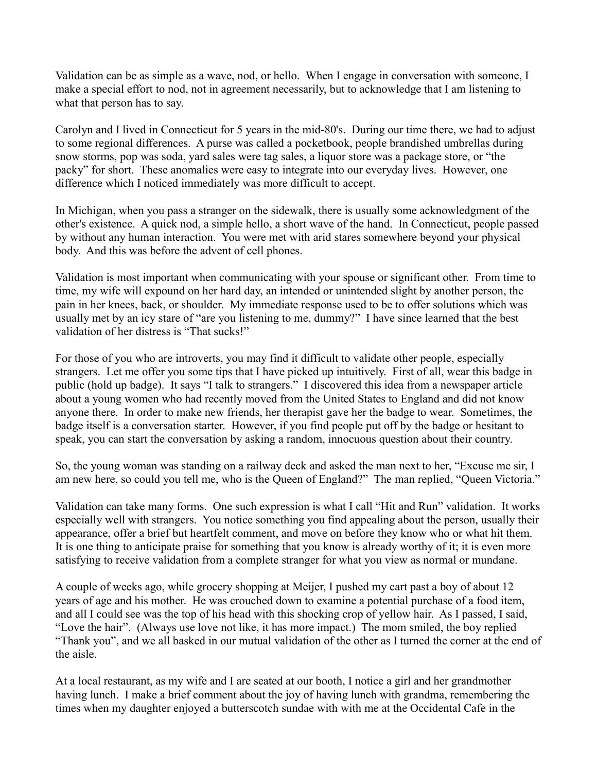Validation can be as simple as a wave, nod, or hello. When I engage in conversation with someone, I make a special effort to nod, not in agreement necessarily, but to acknowledge that I am listening to what that person has to say.

Carolyn and I lived in Connecticut for 5 years in the mid-80's. During our time there, we had to adjust to some regional differences. A purse was called a pocketbook, people brandished umbrellas during snow storms, pop was soda, yard sales were tag sales, a liquor store was a package store, or "the packy" for short. These anomalies were easy to integrate into our everyday lives. However, one difference which I noticed immediately was more difficult to accept.

In Michigan, when you pass a stranger on the sidewalk, there is usually some acknowledgment of the other's existence. A quick nod, a simple hello, a short wave of the hand. In Connecticut, people passed by without any human interaction. You were met with arid stares somewhere beyond your physical body. And this was before the advent of cell phones.

Validation is most important when communicating with your spouse or significant other. From time to time, my wife will expound on her hard day, an intended or unintended slight by another person, the pain in her knees, back, or shoulder. My immediate response used to be to offer solutions which was usually met by an icy stare of "are you listening to me, dummy?" I have since learned that the best validation of her distress is "That sucks!"

For those of you who are introverts, you may find it difficult to validate other people, especially strangers. Let me offer you some tips that I have picked up intuitively. First of all, wear this badge in public (hold up badge). It says "I talk to strangers." I discovered this idea from a newspaper article about a young women who had recently moved from the United States to England and did not know anyone there. In order to make new friends, her therapist gave her the badge to wear. Sometimes, the badge itself is a conversation starter. However, if you find people put off by the badge or hesitant to speak, you can start the conversation by asking a random, innocuous question about their country.

So, the young woman was standing on a railway deck and asked the man next to her, "Excuse me sir, I am new here, so could you tell me, who is the Queen of England?" The man replied, "Queen Victoria."

Validation can take many forms. One such expression is what I call "Hit and Run" validation. It works especially well with strangers. You notice something you find appealing about the person, usually their appearance, offer a brief but heartfelt comment, and move on before they know who or what hit them. It is one thing to anticipate praise for something that you know is already worthy of it; it is even more satisfying to receive validation from a complete stranger for what you view as normal or mundane.

A couple of weeks ago, while grocery shopping at Meijer, I pushed my cart past a boy of about 12 years of age and his mother. He was crouched down to examine a potential purchase of a food item, and all I could see was the top of his head with this shocking crop of yellow hair. As I passed, I said, "Love the hair". (Always use love not like, it has more impact.) The mom smiled, the boy replied "Thank you", and we all basked in our mutual validation of the other as I turned the corner at the end of the aisle.

At a local restaurant, as my wife and I are seated at our booth, I notice a girl and her grandmother having lunch. I make a brief comment about the joy of having lunch with grandma, remembering the times when my daughter enjoyed a butterscotch sundae with with me at the Occidental Cafe in the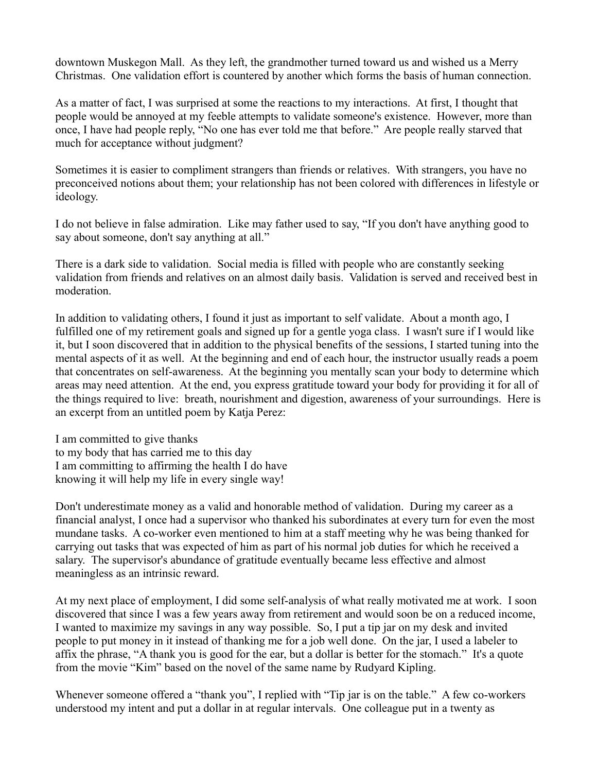downtown Muskegon Mall. As they left, the grandmother turned toward us and wished us a Merry Christmas. One validation effort is countered by another which forms the basis of human connection.

As a matter of fact, I was surprised at some the reactions to my interactions. At first, I thought that people would be annoyed at my feeble attempts to validate someone's existence. However, more than once, I have had people reply, "No one has ever told me that before." Are people really starved that much for acceptance without judgment?

Sometimes it is easier to compliment strangers than friends or relatives. With strangers, you have no preconceived notions about them; your relationship has not been colored with differences in lifestyle or ideology.

I do not believe in false admiration. Like may father used to say, "If you don't have anything good to say about someone, don't say anything at all."

There is a dark side to validation. Social media is filled with people who are constantly seeking validation from friends and relatives on an almost daily basis. Validation is served and received best in moderation.

In addition to validating others, I found it just as important to self validate. About a month ago, I fulfilled one of my retirement goals and signed up for a gentle yoga class. I wasn't sure if I would like it, but I soon discovered that in addition to the physical benefits of the sessions, I started tuning into the mental aspects of it as well. At the beginning and end of each hour, the instructor usually reads a poem that concentrates on self-awareness. At the beginning you mentally scan your body to determine which areas may need attention. At the end, you express gratitude toward your body for providing it for all of the things required to live: breath, nourishment and digestion, awareness of your surroundings. Here is an excerpt from an untitled poem by Katja Perez:

I am committed to give thanks to my body that has carried me to this day I am committing to affirming the health I do have knowing it will help my life in every single way!

Don't underestimate money as a valid and honorable method of validation. During my career as a financial analyst, I once had a supervisor who thanked his subordinates at every turn for even the most mundane tasks. A co-worker even mentioned to him at a staff meeting why he was being thanked for carrying out tasks that was expected of him as part of his normal job duties for which he received a salary. The supervisor's abundance of gratitude eventually became less effective and almost meaningless as an intrinsic reward.

At my next place of employment, I did some self-analysis of what really motivated me at work. I soon discovered that since I was a few years away from retirement and would soon be on a reduced income, I wanted to maximize my savings in any way possible. So, I put a tip jar on my desk and invited people to put money in it instead of thanking me for a job well done. On the jar, I used a labeler to affix the phrase, "A thank you is good for the ear, but a dollar is better for the stomach." It's a quote from the movie "Kim" based on the novel of the same name by Rudyard Kipling.

Whenever someone offered a "thank you", I replied with "Tip jar is on the table." A few co-workers understood my intent and put a dollar in at regular intervals. One colleague put in a twenty as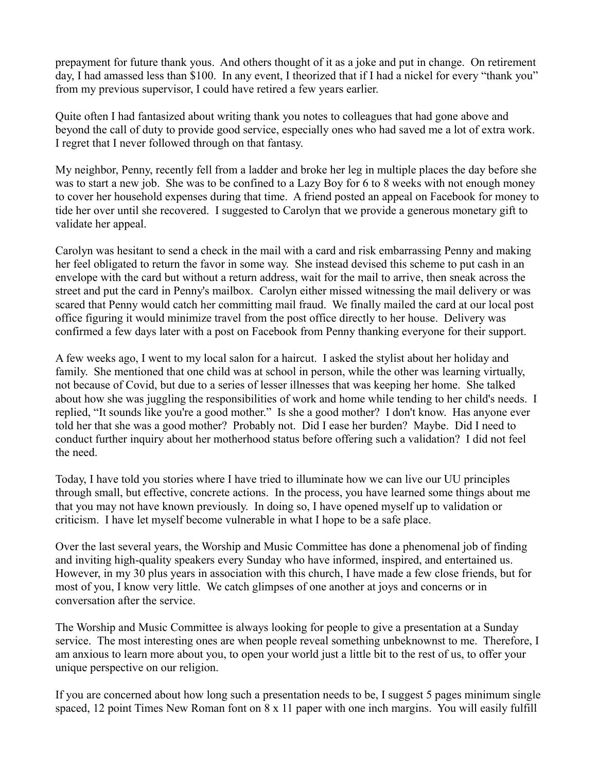prepayment for future thank yous. And others thought of it as a joke and put in change. On retirement day, I had amassed less than \$100. In any event, I theorized that if I had a nickel for every "thank you" from my previous supervisor, I could have retired a few years earlier.

Quite often I had fantasized about writing thank you notes to colleagues that had gone above and beyond the call of duty to provide good service, especially ones who had saved me a lot of extra work. I regret that I never followed through on that fantasy.

My neighbor, Penny, recently fell from a ladder and broke her leg in multiple places the day before she was to start a new job. She was to be confined to a Lazy Boy for 6 to 8 weeks with not enough money to cover her household expenses during that time. A friend posted an appeal on Facebook for money to tide her over until she recovered. I suggested to Carolyn that we provide a generous monetary gift to validate her appeal.

Carolyn was hesitant to send a check in the mail with a card and risk embarrassing Penny and making her feel obligated to return the favor in some way. She instead devised this scheme to put cash in an envelope with the card but without a return address, wait for the mail to arrive, then sneak across the street and put the card in Penny's mailbox. Carolyn either missed witnessing the mail delivery or was scared that Penny would catch her committing mail fraud. We finally mailed the card at our local post office figuring it would minimize travel from the post office directly to her house. Delivery was confirmed a few days later with a post on Facebook from Penny thanking everyone for their support.

A few weeks ago, I went to my local salon for a haircut. I asked the stylist about her holiday and family. She mentioned that one child was at school in person, while the other was learning virtually, not because of Covid, but due to a series of lesser illnesses that was keeping her home. She talked about how she was juggling the responsibilities of work and home while tending to her child's needs. I replied, "It sounds like you're a good mother." Is she a good mother? I don't know. Has anyone ever told her that she was a good mother? Probably not. Did I ease her burden? Maybe. Did I need to conduct further inquiry about her motherhood status before offering such a validation? I did not feel the need.

Today, I have told you stories where I have tried to illuminate how we can live our UU principles through small, but effective, concrete actions. In the process, you have learned some things about me that you may not have known previously. In doing so, I have opened myself up to validation or criticism. I have let myself become vulnerable in what I hope to be a safe place.

Over the last several years, the Worship and Music Committee has done a phenomenal job of finding and inviting high-quality speakers every Sunday who have informed, inspired, and entertained us. However, in my 30 plus years in association with this church, I have made a few close friends, but for most of you, I know very little. We catch glimpses of one another at joys and concerns or in conversation after the service.

The Worship and Music Committee is always looking for people to give a presentation at a Sunday service. The most interesting ones are when people reveal something unbeknownst to me. Therefore, I am anxious to learn more about you, to open your world just a little bit to the rest of us, to offer your unique perspective on our religion.

If you are concerned about how long such a presentation needs to be, I suggest 5 pages minimum single spaced, 12 point Times New Roman font on 8 x 11 paper with one inch margins. You will easily fulfill